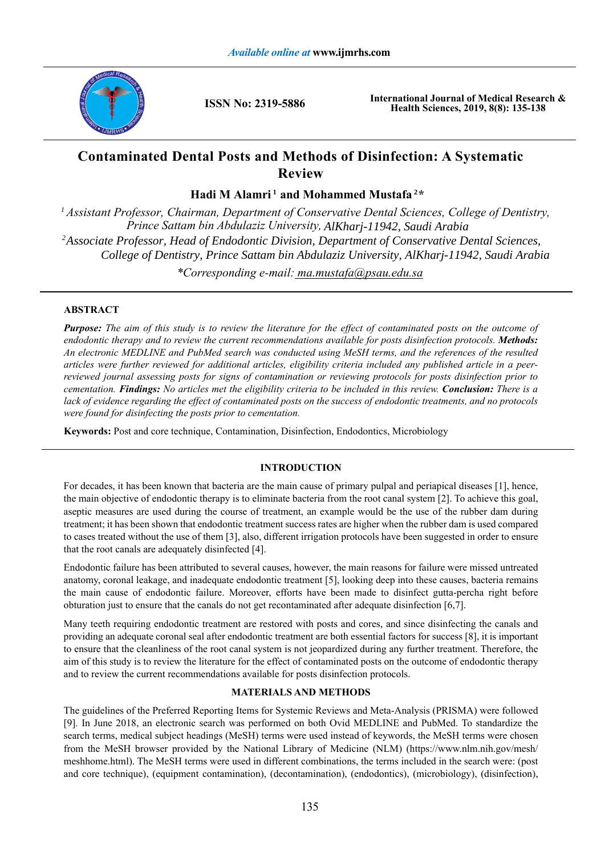

**ISSN No: 2319-5886**

**International Journal of Medical Research & Health Sciences, 2019, 8(8): 135-138**

# **Contaminated Dental Posts and Methods of Disinfection: A Systematic Review**

Hadi M Alamri<sup>1</sup> and Mohammed Mustafa<sup>2\*</sup>

*Assistant Professor, Chairman, Department of Conservative Dental Sciences, College of Dentistry, 1 \*Corresponding e-mail: ma.mustafa@psau.edu.sa Associate Professor, Head of Endodontic Division, Department of Conservative Dental Sciences, 2 College of Dentistry, Prince Sattam bin Abdulaziz University, AlKharj-11942, Saudi Arabia Prince Sattam bin Abdulaziz University, AlKharj-11942, Saudi Arabia*

# **ABSTRACT**

*Purpose: The aim of this study is to review the literature for the effect of contaminated posts on the outcome of endodontic therapy and to review the current recommendations available for posts disinfection protocols. Methods: An electronic MEDLINE and PubMed search was conducted using MeSH terms, and the references of the resulted articles were further reviewed for additional articles, eligibility criteria included any published article in a peerreviewed journal assessing posts for signs of contamination or reviewing protocols for posts disinfection prior to cementation. Findings: No articles met the eligibility criteria to be included in this review. Conclusion: There is a lack of evidence regarding the effect of contaminated posts on the success of endodontic treatments, and no protocols were found for disinfecting the posts prior to cementation.*

**Keywords:** Post and core technique, Contamination, Disinfection, Endodontics, Microbiology

# **INTRODUCTION**

For decades, it has been known that bacteria are the main cause of primary pulpal and periapical diseases [1], hence, the main objective of endodontic therapy is to eliminate bacteria from the root canal system [2]. To achieve this goal, aseptic measures are used during the course of treatment, an example would be the use of the rubber dam during treatment; it has been shown that endodontic treatment success rates are higher when the rubber dam is used compared to cases treated without the use of them [3], also, different irrigation protocols have been suggested in order to ensure that the root canals are adequately disinfected [4].

Endodontic failure has been attributed to several causes, however, the main reasons for failure were missed untreated anatomy, coronal leakage, and inadequate endodontic treatment [5], looking deep into these causes, bacteria remains the main cause of endodontic failure. Moreover, efforts have been made to disinfect gutta-percha right before obturation just to ensure that the canals do not get recontaminated after adequate disinfection [6,7].

Many teeth requiring endodontic treatment are restored with posts and cores, and since disinfecting the canals and providing an adequate coronal seal after endodontic treatment are both essential factors for success [8], it is important to ensure that the cleanliness of the root canal system is not jeopardized during any further treatment. Therefore, the aim of this study is to review the literature for the effect of contaminated posts on the outcome of endodontic therapy and to review the current recommendations available for posts disinfection protocols.

## **MATERIALS AND METHODS**

The guidelines of the Preferred Reporting Items for Systemic Reviews and Meta-Analysis (PRISMA) were followed [9]. In June 2018, an electronic search was performed on both Ovid MEDLINE and PubMed. To standardize the search terms, medical subject headings (MeSH) terms were used instead of keywords, the MeSH terms were chosen from the MeSH browser provided by the National Library of Medicine (NLM) (https://www.nlm.nih.gov/mesh/ meshhome.html). The MeSH terms were used in different combinations, the terms included in the search were: (post and core technique), (equipment contamination), (decontamination), (endodontics), (microbiology), (disinfection),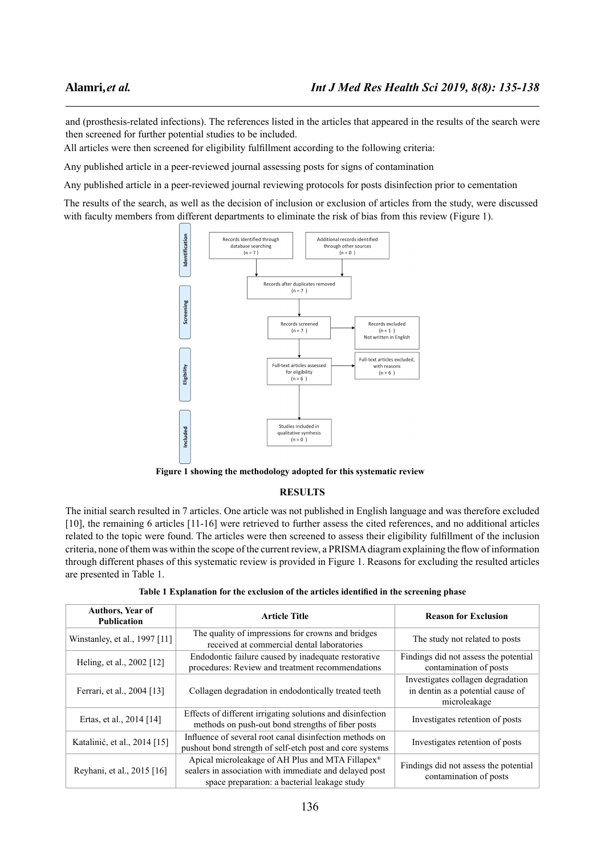and (prosthesis-related infections). The references listed in the articles that appeared in the results of the search were then screened for further potential studies to be included.

All articles were then screened for eligibility fulfillment according to the following criteria:

Any published article in a peer-reviewed journal assessing posts for signs of contamination

Any published article in a peer-reviewed journal reviewing protocols for posts disinfection prior to cementation

The results of the search, as well as the decision of inclusion or exclusion of articles from the study, were discussed with faculty members from different departments to eliminate the risk of bias from this review (Figure 1).



**Figure 1 showing the methodology adopted for this systematic review**

#### **RESULTS**

The initial search resulted in 7 articles. One article was not published in English language and was therefore excluded [10], the remaining 6 articles [11-16] were retrieved to further assess the cited references, and no additional articles related to the topic were found. The articles were then screened to assess their eligibility fulfillment of the inclusion criteria, none of them was within the scope of the current review, a PRISMA diagram explaining the flow of information through different phases of this systematic review is provided in Figure 1. Reasons for excluding the resulted articles are presented in Table 1.

| <b>Authors, Year of</b><br><b>Publication</b> | <b>Article Title</b>                                                                                                                                       | <b>Reason for Exclusion</b>                                                            |  |
|-----------------------------------------------|------------------------------------------------------------------------------------------------------------------------------------------------------------|----------------------------------------------------------------------------------------|--|
| Winstanley, et al., 1997 [11]                 | The quality of impressions for crowns and bridges<br>received at commercial dental laboratories                                                            | The study not related to posts                                                         |  |
| Heling, et al., 2002 [12]                     | Endodontic failure caused by inadequate restorative<br>procedures: Review and treatment recommendations                                                    | Findings did not assess the potential<br>contamination of posts                        |  |
| Ferrari, et al., 2004 [13]                    | Collagen degradation in endodontically treated teeth                                                                                                       | Investigates collagen degradation<br>in dentin as a potential cause of<br>microleakage |  |
| Ertas, et al., 2014 [14]                      | Effects of different irrigating solutions and disinfection<br>methods on push-out bond strengths of fiber posts                                            | Investigates retention of posts                                                        |  |
| Katalinić, et al., 2014 [15]                  | Influence of several root canal disinfection methods on<br>pushout bond strength of self-etch post and core systems                                        | Investigates retention of posts                                                        |  |
| Reyhani, et al., 2015 [16]                    | Apical microleakage of AH Plus and MTA Fillapex®<br>sealers in association with immediate and delayed post<br>space preparation: a bacterial leakage study | Findings did not assess the potential<br>contamination of posts                        |  |

|  |  |  | Table 1 Explanation for the exclusion of the articles identified in the screening phase |  |
|--|--|--|-----------------------------------------------------------------------------------------|--|
|  |  |  |                                                                                         |  |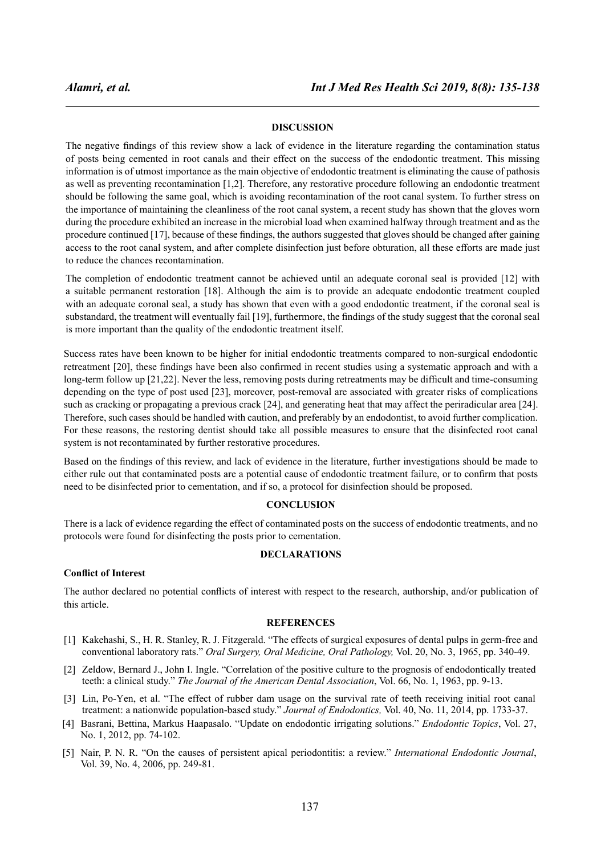## **DISCUSSION**

The negative findings of this review show a lack of evidence in the literature regarding the contamination status of posts being cemented in root canals and their effect on the success of the endodontic treatment. This missing information is of utmost importance as the main objective of endodontic treatment is eliminating the cause of pathosis as well as preventing recontamination [1,2]. Therefore, any restorative procedure following an endodontic treatment should be following the same goal, which is avoiding recontamination of the root canal system. To further stress on the importance of maintaining the cleanliness of the root canal system, a recent study has shown that the gloves worn during the procedure exhibited an increase in the microbial load when examined halfway through treatment and as the procedure continued [17], because of these findings, the authors suggested that gloves should be changed after gaining access to the root canal system, and after complete disinfection just before obturation, all these efforts are made just to reduce the chances recontamination.

The completion of endodontic treatment cannot be achieved until an adequate coronal seal is provided [12] with a suitable permanent restoration [18]. Although the aim is to provide an adequate endodontic treatment coupled with an adequate coronal seal, a study has shown that even with a good endodontic treatment, if the coronal seal is substandard, the treatment will eventually fail [19], furthermore, the findings of the study suggest that the coronal seal is more important than the quality of the endodontic treatment itself.

Success rates have been known to be higher for initial endodontic treatments compared to non-surgical endodontic retreatment [20], these findings have been also confirmed in recent studies using a systematic approach and with a long-term follow up [21,22]. Never the less, removing posts during retreatments may be difficult and time-consuming depending on the type of post used [23], moreover, post-removal are associated with greater risks of complications such as cracking or propagating a previous crack [24], and generating heat that may affect the periradicular area [24]. Therefore, such cases should be handled with caution, and preferably by an endodontist, to avoid further complication. For these reasons, the restoring dentist should take all possible measures to ensure that the disinfected root canal system is not recontaminated by further restorative procedures.

Based on the findings of this review, and lack of evidence in the literature, further investigations should be made to either rule out that contaminated posts are a potential cause of endodontic treatment failure, or to confirm that posts need to be disinfected prior to cementation, and if so, a protocol for disinfection should be proposed.

## **CONCLUSION**

There is a lack of evidence regarding the effect of contaminated posts on the success of endodontic treatments, and no protocols were found for disinfecting the posts prior to cementation.

#### **DECLARATIONS**

### **Conflict of Interest**

The author declared no potential conflicts of interest with respect to the research, authorship, and/or publication of this article.

#### **REFERENCES**

- [1] Kakehashi, S., H. R. Stanley, R. J. Fitzgerald. "The effects of surgical exposures of dental pulps in germ-free and conventional laboratory rats." *Oral Surgery, Oral Medicine, Oral Pathology,* Vol. 20, No. 3, 1965, pp. 340-49.
- [2] Zeldow, Bernard J., John I. Ingle. "Correlation of the positive culture to the prognosis of endodontically treated teeth: a clinical study." *The Journal of the American Dental Association*, Vol. 66, No. 1, 1963, pp. 9-13.
- [3] Lin, Po-Yen, et al. "The effect of rubber dam usage on the survival rate of teeth receiving initial root canal treatment: a nationwide population-based study." *Journal of Endodontics,* Vol. 40, No. 11, 2014, pp. 1733-37.
- [4] Basrani, Bettina, Markus Haapasalo. "Update on endodontic irrigating solutions." *Endodontic Topics*, Vol. 27, No. 1, 2012, pp. 74-102.
- [5] Nair, P. N. R. "On the causes of persistent apical periodontitis: a review." *International Endodontic Journal*, Vol. 39, No. 4, 2006, pp. 249-81.